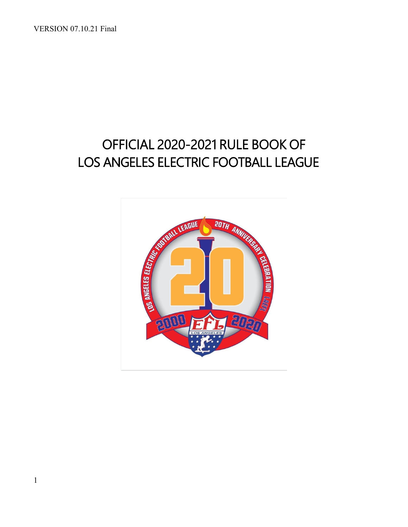VERSION 07.10.21 Final

# OFFICIAL 2020-2021 RULE BOOK OF LOS ANGELES ELECTRIC FOOTBALL LEAGUE

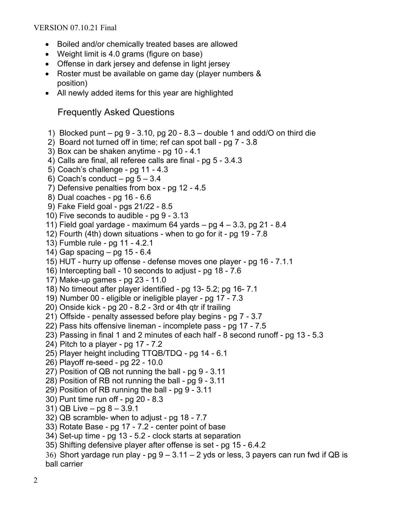- Boiled and/or chemically treated bases are allowed
- Weight limit is 4.0 grams (figure on base)
- Offense in dark jersey and defense in light jersey
- Roster must be available on game day (player numbers & position)
- All newly added items for this year are highlighted

# Frequently Asked Questions

- 1) Blocked punt pg  $9 3.10$ , pg  $20 8.3$  double 1 and odd/O on third die
- 2) Board not turned off in time; ref can spot ball pg 7 3.8
- 3) Box can be shaken anytime pg 10 4.1
- 4) Calls are final, all referee calls are final pg 5 3.4.3
- 5) Coach's challenge pg 11 4.3
- 6) Coach's conduct pg  $5 3.4$
- 7) Defensive penalties from box pg 12 4.5
- 8) Dual coaches pg 16 6.6
- 9) Fake Field goal pgs 21/22 8.5
- 10) Five seconds to audible pg 9 3.13
- 11) Field goal yardage maximum 64 yards  $-$  pg  $4 3.3$ , pg 21 8.4
- 12) Fourth (4th) down situations when to go for it pg 19 7.8
- 13) Fumble rule pg 11 4.2.1
- 14) Gap spacing pg 15 6.4
- 15) HUT hurry up offense defense moves one player pg 16 7.1.1
- 16) Intercepting ball 10 seconds to adjust pg 18 7.6
- 17) Make-up games pg 23 11.0
- 18) No timeout after player identified pg 13- 5.2; pg 16- 7.1
- 19) Number 00 eligible or ineligible player pg 17 7.3
- 20) Onside kick pg 20 8.2 3rd or 4th qtr if trailing
- 21) Offside penalty assessed before play begins pg 7 3.7
- 22) Pass hits offensive lineman incomplete pass pg 17 7.5
- 23) Passing in final 1 and 2 minutes of each half 8 second runoff pg 13 5.3
- 24) Pitch to a player pg 17 7.2
- 25) Player height including TTQB/TDQ pg 14 6.1
- 26) Playoff re-seed pg 22 10.0
- 27) Position of QB not running the ball pg 9 3.11
- 28) Position of RB not running the ball pg 9 3.11
- 29) Position of RB running the ball pg 9 3.11
- 30) Punt time run off pg 20 8.3
- 31) QB Live pg 8 3.9.1
- 32) QB scramble- when to adjust pg 18 7.7
- 33) Rotate Base pg 17 7.2 center point of base
- 34) Set-up time pg 13 5.2 clock starts at separation
- 35) Shifting defensive player after offense is set pg 15 6.4.2
- 36) Short vardage run play pg  $9 3.11 2$  yds or less, 3 payers can run fwd if QB is ball carrier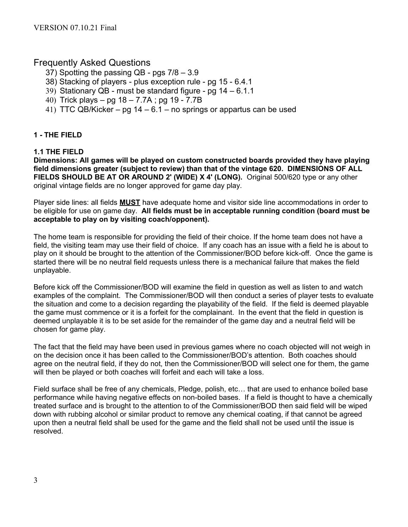# Frequently Asked Questions

- 37) Spotting the passing QB pgs 7/8 3.9
- 38) Stacking of players plus exception rule pg 15 6.4.1
- 39) Stationary QB must be standard figure pg 14 6.1.1
- 40) Trick plays pg 18 7.7A ; pg 19 7.7B
- 41) TTC QB/Kicker pg 14 6.1 no springs or appartus can be used

## **1 - THE FIELD**

#### **1.1 THE FIELD**

**Dimensions: All games will be played on custom constructed boards provided they have playing field dimensions greater (subject to review) than that of the vintage 620. DIMENSIONS OF ALL FIELDS SHOULD BE AT OR AROUND 2' (WIDE) X 4' (LONG).** Original 500/620 type or any other original vintage fields are no longer approved for game day play.

Player side lines: all fields **MUST** have adequate home and visitor side line accommodations in order to be eligible for use on game day. **All fields must be in acceptable running condition (board must be acceptable to play on by visiting coach/opponent).**

The home team is responsible for providing the field of their choice. If the home team does not have a field, the visiting team may use their field of choice. If any coach has an issue with a field he is about to play on it should be brought to the attention of the Commissioner/BOD before kick-off. Once the game is started there will be no neutral field requests unless there is a mechanical failure that makes the field unplayable.

Before kick off the Commissioner/BOD will examine the field in question as well as listen to and watch examples of the complaint. The Commissioner/BOD will then conduct a series of player tests to evaluate the situation and come to a decision regarding the playability of the field. If the field is deemed playable the game must commence or it is a forfeit for the complainant. In the event that the field in question is deemed unplayable it is to be set aside for the remainder of the game day and a neutral field will be chosen for game play.

The fact that the field may have been used in previous games where no coach objected will not weigh in on the decision once it has been called to the Commissioner/BOD's attention. Both coaches should agree on the neutral field, if they do not, then the Commissioner/BOD will select one for them, the game will then be played or both coaches will forfeit and each will take a loss.

Field surface shall be free of any chemicals, Pledge, polish, etc… that are used to enhance boiled base performance while having negative effects on non-boiled bases. If a field is thought to have a chemically treated surface and is brought to the attention to of the Commissioner/BOD then said field will be wiped down with rubbing alcohol or similar product to remove any chemical coating, if that cannot be agreed upon then a neutral field shall be used for the game and the field shall not be used until the issue is resolved.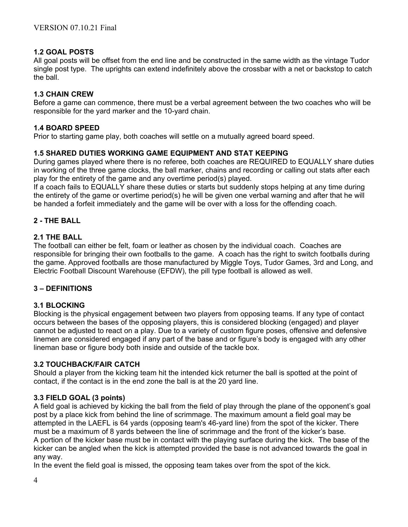#### **1.2 GOAL POSTS**

All goal posts will be offset from the end line and be constructed in the same width as the vintage Tudor single post type. The uprights can extend indefinitely above the crossbar with a net or backstop to catch the ball.

#### **1.3 CHAIN CREW**

Before a game can commence, there must be a verbal agreement between the two coaches who will be responsible for the yard marker and the 10-yard chain.

#### **1.4 BOARD SPEED**

Prior to starting game play, both coaches will settle on a mutually agreed board speed.

#### **1.5 SHARED DUTIES WORKING GAME EQUIPMENT AND STAT KEEPING**

During games played where there is no referee, both coaches are REQUIRED to EQUALLY share duties in working of the three game clocks, the ball marker, chains and recording or calling out stats after each play for the entirety of the game and any overtime period(s) played.

If a coach fails to EQUALLY share these duties or starts but suddenly stops helping at any time during the entirety of the game or overtime period(s) he will be given one verbal warning and after that he will be handed a forfeit immediately and the game will be over with a loss for the offending coach.

#### **2 - THE BALL**

#### **2.1 THE BALL**

The football can either be felt, foam or leather as chosen by the individual coach. Coaches are responsible for bringing their own footballs to the game. A coach has the right to switch footballs during the game. Approved footballs are those manufactured by Miggle Toys, Tudor Games, 3rd and Long, and Electric Football Discount Warehouse (EFDW), the pill type football is allowed as well.

#### **3 – DEFINITIONS**

#### **3.1 BLOCKING**

Blocking is the physical engagement between two players from opposing teams. If any type of contact occurs between the bases of the opposing players, this is considered blocking (engaged) and player cannot be adjusted to react on a play. Due to a variety of custom figure poses, offensive and defensive linemen are considered engaged if any part of the base and or figure's body is engaged with any other lineman base or figure body both inside and outside of the tackle box.

#### **3.2 TOUCHBACK/FAIR CATCH**

Should a player from the kicking team hit the intended kick returner the ball is spotted at the point of contact, if the contact is in the end zone the ball is at the 20 yard line.

#### **3.3 FIELD GOAL (3 points)**

A field goal is achieved by kicking the ball from the field of play through the plane of the opponent's goal post by a place kick from behind the line of scrimmage. The maximum amount a field goal may be attempted in the LAEFL is 64 yards (opposing team's 46-yard line) from the spot of the kicker. There must be a maximum of 8 yards between the line of scrimmage and the front of the kicker's base. A portion of the kicker base must be in contact with the playing surface during the kick. The base of the kicker can be angled when the kick is attempted provided the base is not advanced towards the goal in any way.

In the event the field goal is missed, the opposing team takes over from the spot of the kick.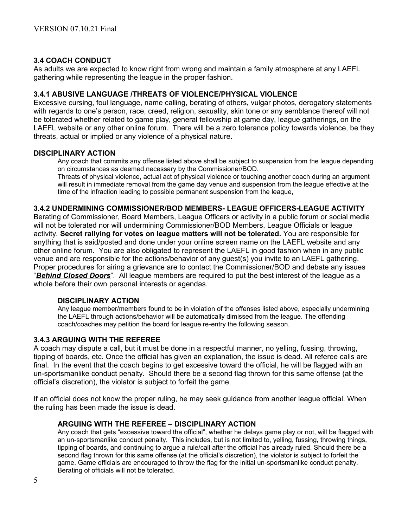#### **3.4 COACH CONDUCT**

As adults we are expected to know right from wrong and maintain a family atmosphere at any LAEFL gathering while representing the league in the proper fashion.

#### **3.4.1 ABUSIVE LANGUAGE /THREATS OF VIOLENCE/PHYSICAL VIOLENCE**

Excessive cursing, foul language, name calling, berating of others, vulgar photos, derogatory statements with regards to one's person, race, creed, religion, sexuality, skin tone or any semblance thereof will not be tolerated whether related to game play, general fellowship at game day, league gatherings, on the LAEFL website or any other online forum. There will be a zero tolerance policy towards violence, be they threats, actual or implied or any violence of a physical nature.

#### **DISCIPLINARY ACTION**

Any coach that commits any offense listed above shall be subject to suspension from the league depending on circumstances as deemed necessary by the Commissioner/BOD.

Threats of physical violence, actual act of physical violence or touching another coach during an argument will result in immediate removal from the game day venue and suspension from the league effective at the time of the infraction leading to possible permanent suspension from the league,

#### **3.4.2 UNDERMINING COMMISSIONER/BOD MEMBERS- LEAGUE OFFICERS-LEAGUE ACTIVITY**

Berating of Commissioner, Board Members, League Officers or activity in a public forum or social media will not be tolerated nor will undermining Commissioner/BOD Members, League Officials or league activity. **Secret rallying for votes on league matters will not be tolerated.** You are responsible for anything that is said/posted and done under your online screen name on the LAEFL website and any other online forum. You are also obligated to represent the LAEFL in good fashion when in any public venue and are responsible for the actions/behavior of any guest(s) you invite to an LAEFL gathering. Proper procedures for airing a grievance are to contact the Commissioner/BOD and debate any issues "*Behind Closed Doors*". All league members are required to put the best interest of the league as a whole before their own personal interests or agendas.

#### **DISCIPLINARY ACTION**

Any league member/members found to be in violation of the offenses listed above, especially undermining the LAEFL through actions/behavior will be automatically dimissed from the league. The offending coach/coaches may petition the board for league re-entry the following season.

#### **3.4.3 ARGUING WITH THE REFEREE**

A coach may dispute a call, but it must be done in a respectful manner, no yelling, fussing, throwing, tipping of boards, etc. Once the official has given an explanation, the issue is dead. All referee calls are final. In the event that the coach begins to get excessive toward the official, he will be flagged with an un-sportsmanlike conduct penalty. Should there be a second flag thrown for this same offense (at the official's discretion), the violator is subject to forfeit the game.

If an official does not know the proper ruling, he may seek guidance from another league official. When the ruling has been made the issue is dead.

#### **ARGUING WITH THE REFEREE – DISCIPLINARY ACTION**

Any coach that gets "excessive toward the official", whether he delays game play or not, will be flagged with an un-sportsmanlike conduct penalty. This includes, but is not limited to, yelling, fussing, throwing things, tipping of boards, and continuing to argue a rule/call after the official has already ruled. Should there be a second flag thrown for this same offense (at the official's discretion), the violator is subject to forfeit the game. Game officials are encouraged to throw the flag for the initial un-sportsmanlike conduct penalty. Berating of officials will not be tolerated.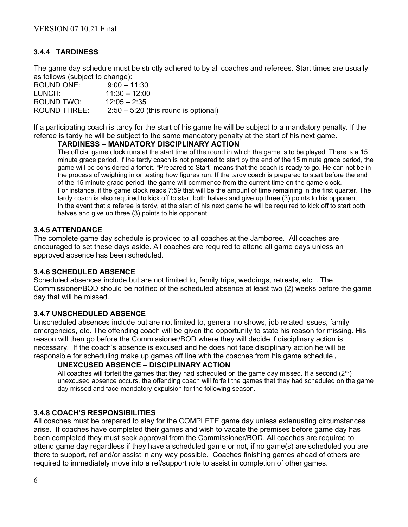# **3.4.4 TARDINESS**

The game day schedule must be strictly adhered to by all coaches and referees. Start times are usually as follows (subject to change):

ROUND ONE: 9:00 – 11:30 LUNCH: 11:30 – 12:00 ROUND TWO: 12:05 – 2:35 ROUND THREE: 2:50 – 5:20 (this round is optional)

If a participating coach is tardy for the start of his game he will be subject to a mandatory penalty. If the referee is tardy he will be subject to the same mandatory penalty at the start of his next game.

#### **TARDINESS – MANDATORY DISCIPLINARY ACTION**

The official game clock runs at the start time of the round in which the game is to be played. There is a 15 minute grace period. If the tardy coach is not prepared to start by the end of the 15 minute grace period, the game will be considered a forfeit. "Prepared to Start" means that the coach is ready to go. He can not be in the process of weighing in or testing how figures run. If the tardy coach is prepared to start before the end of the 15 minute grace period, the game will commence from the current time on the game clock. For instance, if the game clock reads 7:59 that will be the amount of time remaining in the first quarter. The tardy coach is also required to kick off to start both halves and give up three (3) points to his opponent. In the event that a referee is tardy, at the start of his next game he will be required to kick off to start both halves and give up three (3) points to his opponent.

#### **3.4.5 ATTENDANCE**

The complete game day schedule is provided to all coaches at the Jamboree. All coaches are encouraged to set these days aside. All coaches are required to attend all game days unless an approved absence has been scheduled.

#### **3.4.6 SCHEDULED ABSENCE**

Scheduled absences include but are not limited to, family trips, weddings, retreats, etc... The Commissioner/BOD should be notified of the scheduled absence at least two (2) weeks before the game day that will be missed.

#### **3.4.7 UNSCHEDULED ABSENCE**

Unscheduled absences include but are not limited to, general no shows, job related issues, family emergencies, etc. The offending coach will be given the opportunity to state his reason for missing. His reason will then go before the Commissioner/BOD where they will decide if disciplinary action is necessary. If the coach's absence is excused and he does not face disciplinary action he will be responsible for scheduling make up games off line with the coaches from his game schedule.

#### **UNEXCUSED ABSENCE – DISCIPLINARY ACTION**

All coaches will forfeit the games that they had scheduled on the game day missed. If a second  $(2^{nd})$ unexcused absence occurs, the offending coach will forfeit the games that they had scheduled on the game day missed and face mandatory expulsion for the following season.

#### **3.4.8 COACH'S RESPONSIBILITIES**

All coaches must be prepared to stay for the COMPLETE game day unless extenuating circumstances arise. If coaches have completed their games and wish to vacate the premises before game day has been completed they must seek approval from the Commissioner/BOD. All coaches are required to attend game day regardless if they have a scheduled game or not, if no game(s) are scheduled you are there to support, ref and/or assist in any way possible. Coaches finishing games ahead of others are required to immediately move into a ref/support role to assist in completion of other games.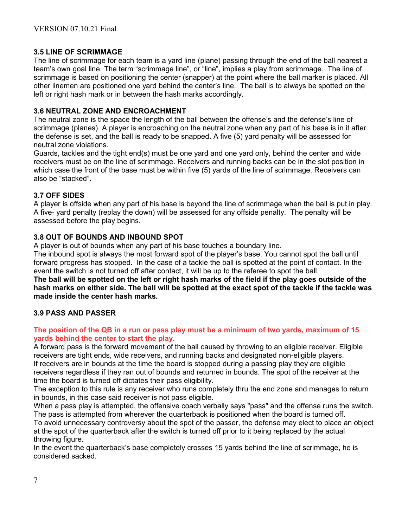## **3.5 LINE OF SCRIMMAGE**

The line of scrimmage for each team is a yard line (plane) passing through the end of the ball nearest a team's own goal line. The term "scrimmage line", or "line", implies a play from scrimmage. The line of scrimmage is based on positioning the center (snapper) at the point where the ball marker is placed. All other linemen are positioned one yard behind the center's line. The ball is to always be spotted on the left or right hash mark or in between the hash marks accordingly.

#### **3.6 NEUTRAL ZONE AND ENCROACHMENT**

The neutral zone is the space the length of the ball between the offense's and the defense's line of scrimmage (planes). A player is encroaching on the neutral zone when any part of his base is in it after the defense is set, and the ball is ready to be snapped. A five (5) yard penalty will be assessed for neutral zone violations.

Guards, tackles and the tight end(s) must be one yard and one yard only, behind the center and wide receivers must be on the line of scrimmage. Receivers and running backs can be in the slot position in which case the front of the base must be within five (5) yards of the line of scrimmage. Receivers can also be "stacked".

#### **3.7 OFF SIDES**

A player is offside when any part of his base is beyond the line of scrimmage when the ball is put in play. A five- yard penalty (replay the down) will be assessed for any offside penalty. The penalty will be assessed before the play begins.

#### **3.8 OUT OF BOUNDS AND INBOUND SPOT**

A player is out of bounds when any part of his base touches a boundary line.

The inbound spot is always the most forward spot of the player's base. You cannot spot the ball until forward progress has stopped. In the case of a tackle the ball is spotted at the point of contact. In the event the switch is not turned off after contact, it will be up to the referee to spot the ball.

**The ball will be spotted on the left or right hash marks of the field if the play goes outside of the hash marks on either side. The ball will be spotted at the exact spot of the tackle if the tackle was made inside the center hash marks.**

## **3.9 PASS AND PASSER**

#### **The position of the QB in a run or pass play must be a minimum of two yards, maximum of 15 yards behind the center to start the play.**

A forward pass is the forward movement of the ball caused by throwing to an eligible receiver. Eligible receivers are tight ends, wide receivers, and running backs and designated non-eligible players. If receivers are in bounds at the time the board is stopped during a passing play they are eligible receivers regardless if they ran out of bounds and returned in bounds. The spot of the receiver at the time the board is turned off dictates their pass eligibility.

The exception to this rule is any receiver who runs completely thru the end zone and manages to return in bounds, in this case said receiver is not pass eligible.

When a pass play is attempted, the offensive coach verbally says "pass" and the offense runs the switch. The pass is attempted from wherever the quarterback is positioned when the board is turned off.

To avoid unnecessary controversy about the spot of the passer, the defense may elect to place an object at the spot of the quarterback after the switch is turned off prior to it being replaced by the actual throwing figure.

In the event the quarterback's base completely crosses 15 yards behind the line of scrimmage, he is considered sacked.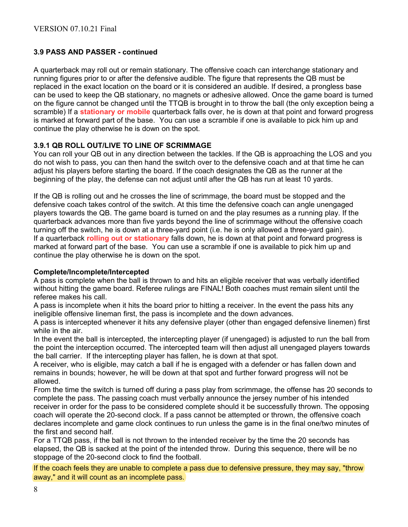## **3.9 PASS AND PASSER - continued**

A quarterback may roll out or remain stationary. The offensive coach can interchange stationary and running figures prior to or after the defensive audible. The figure that represents the QB must be replaced in the exact location on the board or it is considered an audible. If desired, a prongless base can be used to keep the QB stationary, no magnets or adhesive allowed. Once the game board is turned on the figure cannot be changed until the TTQB is brought in to throw the ball (the only exception being a scramble) If a **stationary or mobile** quarterback falls over, he is down at that point and forward progress is marked at forward part of the base. You can use a scramble if one is available to pick him up and continue the play otherwise he is down on the spot.

## **3.9.1 QB ROLL OUT/LIVE TO LINE OF SCRIMMAGE**

You can roll your QB out in any direction between the tackles. If the QB is approaching the LOS and you do not wish to pass, you can then hand the switch over to the defensive coach and at that time he can adjust his players before starting the board. If the coach designates the QB as the runner at the beginning of the play, the defense can not adjust until after the QB has run at least 10 yards.

If the QB is rolling out and he crosses the line of scrimmage, the board must be stopped and the defensive coach takes control of the switch. At this time the defensive coach can angle unengaged players towards the QB. The game board is turned on and the play resumes as a running play. If the quarterback advances more than five yards beyond the line of scrimmage without the offensive coach turning off the switch, he is down at a three-yard point (i.e. he is only allowed a three-yard gain). If a quarterback **rolling out or stationary** falls down, he is down at that point and forward progress is marked at forward part of the base. You can use a scramble if one is available to pick him up and continue the play otherwise he is down on the spot.

## **Complete/Incomplete/Intercepted**

A pass is complete when the ball is thrown to and hits an eligible receiver that was verbally identified without hitting the game board. Referee rulings are FINAL! Both coaches must remain silent until the referee makes his call.

A pass is incomplete when it hits the board prior to hitting a receiver. In the event the pass hits any ineligible offensive lineman first, the pass is incomplete and the down advances.

A pass is intercepted whenever it hits any defensive player (other than engaged defensive linemen) first while in the air.

In the event the ball is intercepted, the intercepting player (if unengaged) is adjusted to run the ball from the point the interception occurred. The intercepted team will then adjust all unengaged players towards the ball carrier. If the intercepting player has fallen, he is down at that spot.

A receiver, who is eligible, may catch a ball if he is engaged with a defender or has fallen down and remains in bounds; however, he will be down at that spot and further forward progress will not be allowed.

From the time the switch is turned off during a pass play from scrimmage, the offense has 20 seconds to complete the pass. The passing coach must verbally announce the jersey number of his intended receiver in order for the pass to be considered complete should it be successfully thrown. The opposing coach will operate the 20-second clock. If a pass cannot be attempted or thrown, the offensive coach declares incomplete and game clock continues to run unless the game is in the final one/two minutes of the first and second half.

For a TTQB pass, if the ball is not thrown to the intended receiver by the time the 20 seconds has elapsed, the QB is sacked at the point of the intended throw. During this sequence, there will be no stoppage of the 20-second clock to find the football.

If the coach feels they are unable to complete a pass due to defensive pressure, they may say, "throw away," and it will count as an incomplete pass.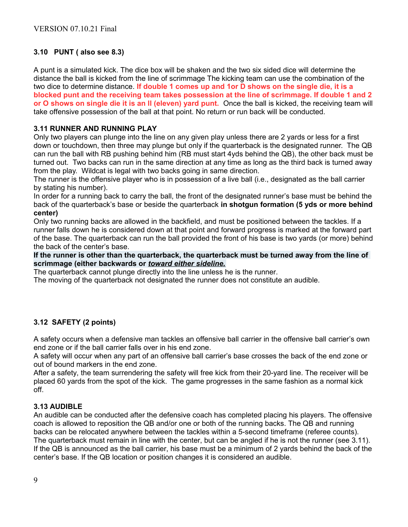# **3.10 PUNT ( also see 8.3)**

A punt is a simulated kick. The dice box will be shaken and the two six sided dice will determine the distance the ball is kicked from the line of scrimmage The kicking team can use the combination of the two dice to determine distance. **If double 1 comes up and 1or D shows on the single die, it is a blocked punt and the receiving team takes possession at the line of scrimmage. If double 1 and 2 or O shows on single die it is an ll (eleven) yard punt.** Once the ball is kicked, the receiving team will take offensive possession of the ball at that point. No return or run back will be conducted.

## **3.11 RUNNER AND RUNNING PLAY**

Only two players can plunge into the line on any given play unless there are 2 yards or less for a first down or touchdown, then three may plunge but only if the quarterback is the designated runner. The QB can run the ball with RB pushing behind him (RB must start 4yds behind the QB), the other back must be turned out. Two backs can run in the same direction at any time as long as the third back is turned away from the play. Wildcat is legal with two backs going in same direction.

The runner is the offensive player who is in possession of a live ball (i.e., designated as the ball carrier by stating his number).

In order for a running back to carry the ball, the front of the designated runner's base must be behind the back of the quarterback's base or beside the quarterback **in shotgun formation (5 yds or more behind center)** 

Only two running backs are allowed in the backfield, and must be positioned between the tackles. If a runner falls down he is considered down at that point and forward progress is marked at the forward part of the base. The quarterback can run the ball provided the front of his base is two yards (or more) behind the back of the center's base.

**If the runner is other than the quarterback, the quarterback must be turned away from the line of scrimmage (either backwards or** *toward either sideline.*

The quarterback cannot plunge directly into the line unless he is the runner.

The moving of the quarterback not designated the runner does not constitute an audible.

# **3.12 SAFETY (2 points)**

A safety occurs when a defensive man tackles an offensive ball carrier in the offensive ball carrier's own end zone or if the ball carrier falls over in his end zone.

A safety will occur when any part of an offensive ball carrier's base crosses the back of the end zone or out of bound markers in the end zone.

After a safety, the team surrendering the safety will free kick from their 20-yard line. The receiver will be placed 60 yards from the spot of the kick. The game progresses in the same fashion as a normal kick off.

## **3.13 AUDIBLE**

An audible can be conducted after the defensive coach has completed placing his players. The offensive coach is allowed to reposition the QB and/or one or both of the running backs. The QB and running backs can be relocated anywhere between the tackles within a 5-second timeframe (referee counts). The quarterback must remain in line with the center, but can be angled if he is not the runner (see 3.11). If the QB is announced as the ball carrier, his base must be a minimum of 2 yards behind the back of the center's base. If the QB location or position changes it is considered an audible.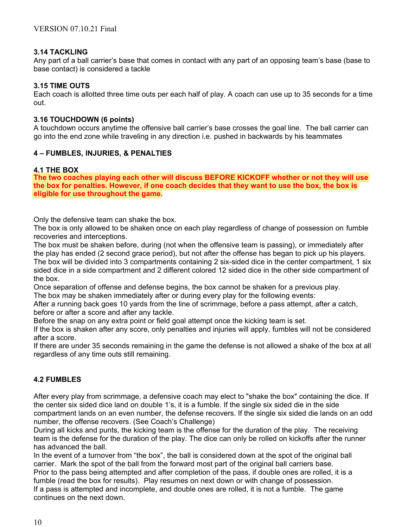#### **3.14 TACKLING**

Any part of a ball carrier's base that comes in contact with any part of an opposing team's base (base to base contact) is considered a tackle

#### **3.15 TIME OUTS**

Each coach is allotted three time outs per each half of play. A coach can use up to 35 seconds for a time out.

#### **3.16 TOUCHDOWN (6 points)**

A touchdown occurs anytime the offensive ball carrier's base crosses the goal line. The ball carrier can go into the end zone while traveling in any direction i.e. pushed in backwards by his teammates

## **4 – FUMBLES, INJURIES, & PENALTIES**

#### **4.1 THE BOX**

**The two coaches playing each other will discuss BEFORE KICKOFF whether or not they will use the box for penalties. However, if one coach decides that they want to use the box, the box is eligible for use throughout the game.**

Only the defensive team can shake the box.

The box is only allowed to be shaken once on each play regardless of change of possession on fumble recoveries and interceptions.

The box must be shaken before, during (not when the offensive team is passing), or immediately after the play has ended (2 second grace period), but not after the offense has began to pick up his players. The box will be divided into 3 compartments containing 2 six-sided dice in the center compartment, 1 six sided dice in a side compartment and 2 different colored 12 sided dice in the other side compartment of the box.

Once separation of offense and defense begins, the box cannot be shaken for a previous play. The box may be shaken immediately after or during every play for the following events:

After a running back goes 10 yards from the line of scrimmage, before a pass attempt, after a catch, before or after a score and after any tackle.

Before the snap on any extra point or field goal attempt once the kicking team is set.

If the box is shaken after any score, only penalties and injuries will apply, fumbles will not be considered after a score.

If there are under 35 seconds remaining in the game the defense is not allowed a shake of the box at all regardless of any time outs still remaining.

## **4.2 FUMBLES**

After every play from scrimmage, a defensive coach may elect to "shake the box" containing the dice. If the center six sided dice land on double 1's, it is a fumble. If the single six sided die in the side compartment lands on an even number, the defense recovers. If the single six sided die lands on an odd number, the offense recovers. (See Coach's Challenge)

During all kicks and punts, the kicking team is the offense for the duration of the play. The receiving team is the defense for the duration of the play. The dice can only be rolled on kickoffs after the runner has advanced the ball.

In the event of a turnover from "the box", the ball is considered down at the spot of the original ball carrier. Mark the spot of the ball from the forward most part of the original ball carriers base. Prior to the pass being attempted and after completion of the pass, if double ones are rolled, it is a fumble (read the box for results). Play resumes on next down or with change of possession. If a pass is attempted and incomplete, and double ones are rolled, it is not a fumble. The game continues on the next down.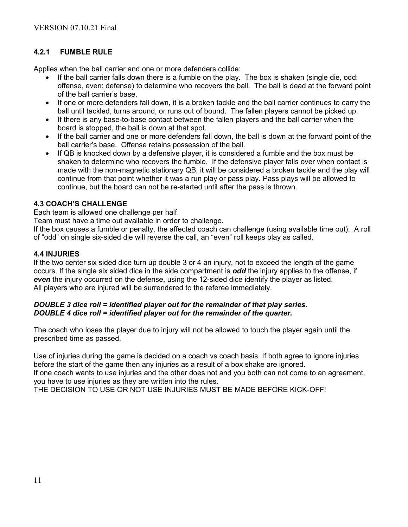# **4.2.1 FUMBLE RULE**

Applies when the ball carrier and one or more defenders collide:

- If the ball carrier falls down there is a fumble on the play. The box is shaken (single die, odd: offense, even: defense) to determine who recovers the ball. The ball is dead at the forward point of the ball carrier's base.
- If one or more defenders fall down, it is a broken tackle and the ball carrier continues to carry the ball until tackled, turns around, or runs out of bound. The fallen players cannot be picked up.
- If there is any base-to-base contact between the fallen players and the ball carrier when the board is stopped, the ball is down at that spot.
- If the ball carrier and one or more defenders fall down, the ball is down at the forward point of the ball carrier's base. Offense retains possession of the ball.
- If QB is knocked down by a defensive player, it is considered a fumble and the box must be shaken to determine who recovers the fumble. If the defensive player falls over when contact is made with the non-magnetic stationary QB, it will be considered a broken tackle and the play will continue from that point whether it was a run play or pass play. Pass plays will be allowed to continue, but the board can not be re-started until after the pass is thrown.

#### **4.3 COACH'S CHALLENGE**

Each team is allowed one challenge per half.

Team must have a time out available in order to challenge.

If the box causes a fumble or penalty, the affected coach can challenge (using available time out). A roll of "odd" on single six-sided die will reverse the call, an "even" roll keeps play as called.

#### **4.4 INJURIES**

If the two center six sided dice turn up double 3 or 4 an injury, not to exceed the length of the game occurs. If the single six sided dice in the side compartment is *odd* the injury applies to the offense, if *even* the injury occurred on the defense, using the 12-sided dice identify the player as listed. All players who are injured will be surrendered to the referee immediately.

#### *DOUBLE 3 dice roll = identified player out for the remainder of that play series. DOUBLE 4 dice roll = identified player out for the remainder of the quarter.*

The coach who loses the player due to injury will not be allowed to touch the player again until the prescribed time as passed.

Use of injuries during the game is decided on a coach vs coach basis. If both agree to ignore injuries before the start of the game then any injuries as a result of a box shake are ignored.

If one coach wants to use injuries and the other does not and you both can not come to an agreement, you have to use injuries as they are written into the rules.

THE DECISION TO USE OR NOT USE INJURIES MUST BE MADE BEFORE KICK-OFF!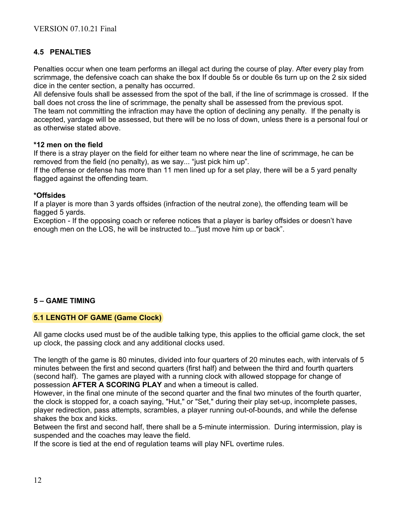# **4.5 PENALTIES**

Penalties occur when one team performs an illegal act during the course of play. After every play from scrimmage, the defensive coach can shake the box If double 5s or double 6s turn up on the 2 six sided dice in the center section, a penalty has occurred.

All defensive fouls shall be assessed from the spot of the ball, if the line of scrimmage is crossed. If the ball does not cross the line of scrimmage, the penalty shall be assessed from the previous spot. The team not committing the infraction may have the option of declining any penalty. If the penalty is accepted, yardage will be assessed, but there will be no loss of down, unless there is a personal foul or as otherwise stated above.

#### **\*12 men on the field**

If there is a stray player on the field for either team no where near the line of scrimmage, he can be removed from the field (no penalty), as we say... "just pick him up".

If the offense or defense has more than 11 men lined up for a set play, there will be a 5 yard penalty flagged against the offending team.

#### **\*Offsides**

If a player is more than 3 yards offsides (infraction of the neutral zone), the offending team will be flagged 5 yards.

Exception - If the opposing coach or referee notices that a player is barley offsides or doesn't have enough men on the LOS, he will be instructed to..."just move him up or back".

## **5 – GAME TIMING**

## **5.1 LENGTH OF GAME (Game Clock)**

All game clocks used must be of the audible talking type, this applies to the official game clock, the set up clock, the passing clock and any additional clocks used.

The length of the game is 80 minutes, divided into four quarters of 20 minutes each, with intervals of 5 minutes between the first and second quarters (first half) and between the third and fourth quarters (second half). The games are played with a running clock with allowed stoppage for change of possession **AFTER A SCORING PLAY** and when a timeout is called.

However, in the final one minute of the second quarter and the final two minutes of the fourth quarter, the clock is stopped for, a coach saying, "Hut," or "Set," during their play set-up, incomplete passes, player redirection, pass attempts, scrambles, a player running out-of-bounds, and while the defense shakes the box and kicks.

Between the first and second half, there shall be a 5-minute intermission. During intermission, play is suspended and the coaches may leave the field.

If the score is tied at the end of regulation teams will play NFL overtime rules.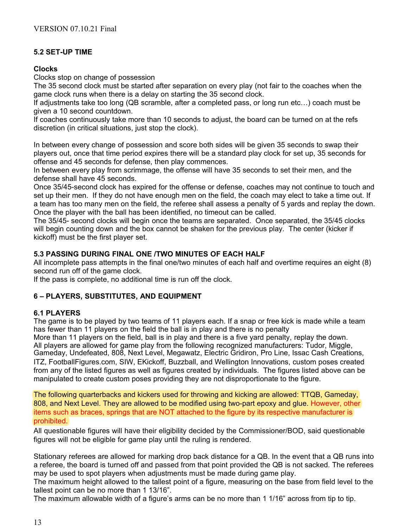# **5.2 SET-UP TIME**

#### **Clocks**

Clocks stop on change of possession

The 35 second clock must be started after separation on every play (not fair to the coaches when the game clock runs when there is a delay on starting the 35 second clock.

If adjustments take too long (QB scramble, after a completed pass, or long run etc…) coach must be given a 10 second countdown.

If coaches continuously take more than 10 seconds to adjust, the board can be turned on at the refs discretion (in critical situations, just stop the clock).

In between every change of possession and score both sides will be given 35 seconds to swap their players out, once that time period expires there will be a standard play clock for set up, 35 seconds for offense and 45 seconds for defense, then play commences.

In between every play from scrimmage, the offense will have 35 seconds to set their men, and the defense shall have 45 seconds.

Once 35/45-second clock has expired for the offense or defense, coaches may not continue to touch and set up their men. If they do not have enough men on the field, the coach may elect to take a time out. If a team has too many men on the field, the referee shall assess a penalty of 5 yards and replay the down. Once the player with the ball has been identified, no timeout can be called.

The 35/45- second clocks will begin once the teams are separated. Once separated, the 35/45 clocks will begin counting down and the box cannot be shaken for the previous play. The center (kicker if kickoff) must be the first player set.

## **5.3 PASSING DURING FINAL ONE /TWO MINUTES OF EACH HALF**

All incomplete pass attempts in the final one/two minutes of each half and overtime requires an eight (8) second run off of the game clock.

If the pass is complete, no additional time is run off the clock.

## **6 – PLAYERS, SUBSTITUTES, AND EQUIPMENT**

## **6.1 PLAYERS**

The game is to be played by two teams of 11 players each. If a snap or free kick is made while a team has fewer than 11 players on the field the ball is in play and there is no penalty

More than 11 players on the field, ball is in play and there is a five yard penalty, replay the down. All players are allowed for game play from the following recognized manufacturers: Tudor, Miggle, Gameday, Undefeated, 808, Next Level, Megawatz, Electric Gridiron, Pro Line, Issac Cash Creations, ITZ, FootballFigures.com, SIW, EKickoff, Buzzball, and Wellington Innovations, custom poses created from any of the listed figures as well as figures created by individuals. The figures listed above can be manipulated to create custom poses providing they are not disproportionate to the figure.

The following quarterbacks and kickers used for throwing and kicking are allowed: TTQB, Gameday, 808, and Next Level. They are allowed to be modified using two-part epoxy and glue. However, other items such as braces, springs that are NOT attached to the figure by its respective manufacturer is prohibited.

All questionable figures will have their eligibility decided by the Commissioner/BOD, said questionable figures will not be eligible for game play until the ruling is rendered.

Stationary referees are allowed for marking drop back distance for a QB. In the event that a QB runs into a referee, the board is turned off and passed from that point provided the QB is not sacked. The referees may be used to spot players when adjustments must be made during game play.

The maximum height allowed to the tallest point of a figure, measuring on the base from field level to the tallest point can be no more than 1 13/16".

The maximum allowable width of a figure's arms can be no more than 1 1/16" across from tip to tip.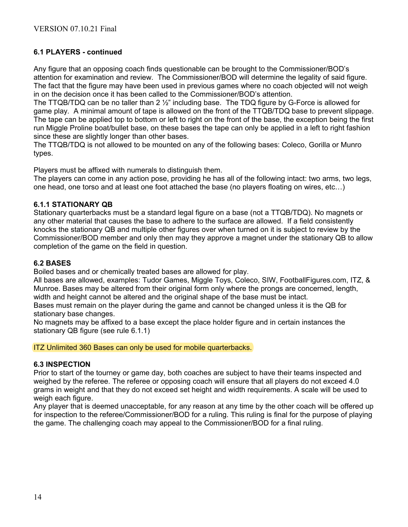## **6.1 PLAYERS - continued**

Any figure that an opposing coach finds questionable can be brought to the Commissioner/BOD's attention for examination and review. The Commissioner/BOD will determine the legality of said figure. The fact that the figure may have been used in previous games where no coach objected will not weigh in on the decision once it has been called to the Commissioner/BOD's attention.

The TTQB/TDQ can be no taller than  $2\frac{1}{2}$ " including base. The TDQ figure by G-Force is allowed for game play. A minimal amount of tape is allowed on the front of the TTQB/TDQ base to prevent slippage. The tape can be applied top to bottom or left to right on the front of the base, the exception being the first run Miggle Proline boat/bullet base, on these bases the tape can only be applied in a left to right fashion since these are slightly longer than other bases.

The TTQB/TDQ is not allowed to be mounted on any of the following bases: Coleco, Gorilla or Munro types.

Players must be affixed with numerals to distinguish them.

The players can come in any action pose, providing he has all of the following intact: two arms, two legs, one head, one torso and at least one foot attached the base (no players floating on wires, etc…)

#### **6.1.1 STATIONARY QB**

Stationary quarterbacks must be a standard legal figure on a base (not a TTQB/TDQ). No magnets or any other material that causes the base to adhere to the surface are allowed. If a field consistently knocks the stationary QB and multiple other figures over when turned on it is subject to review by the Commissioner/BOD member and only then may they approve a magnet under the stationary QB to allow completion of the game on the field in question.

#### **6.2 BASES**

Boiled bases and or chemically treated bases are allowed for play.

All bases are allowed, examples: Tudor Games, Miggle Toys, Coleco, SIW, FootballFigures.com, ITZ, & Munroe. Bases may be altered from their original form only where the prongs are concerned, length, width and height cannot be altered and the original shape of the base must be intact.

Bases must remain on the player during the game and cannot be changed unless it is the QB for stationary base changes.

No magnets may be affixed to a base except the place holder figure and in certain instances the stationary QB figure (see rule 6.1.1)

ITZ Unlimited 360 Bases can only be used for mobile quarterbacks.

## **6.3 INSPECTION**

Prior to start of the tourney or game day, both coaches are subject to have their teams inspected and weighed by the referee. The referee or opposing coach will ensure that all players do not exceed 4.0 grams in weight and that they do not exceed set height and width requirements. A scale will be used to weigh each figure.

Any player that is deemed unacceptable, for any reason at any time by the other coach will be offered up for inspection to the referee/Commissioner/BOD for a ruling. This ruling is final for the purpose of playing the game. The challenging coach may appeal to the Commissioner/BOD for a final ruling.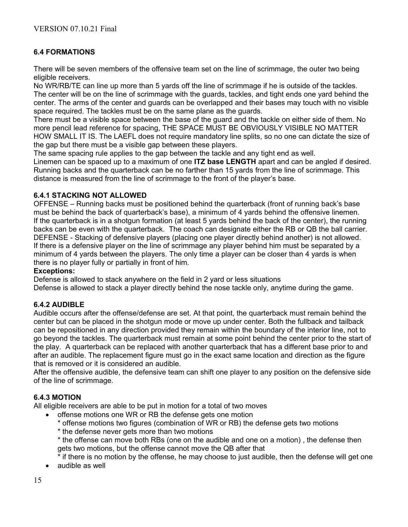# **6.4 FORMATIONS**

There will be seven members of the offensive team set on the line of scrimmage, the outer two being eligible receivers.

No WR/RB/TE can line up more than 5 yards off the line of scrimmage if he is outside of the tackles. The center will be on the line of scrimmage with the guards, tackles, and tight ends one yard behind the center. The arms of the center and guards can be overlapped and their bases may touch with no visible space required. The tackles must be on the same plane as the guards.

There must be a visible space between the base of the guard and the tackle on either side of them. No more pencil lead reference for spacing, THE SPACE MUST BE OBVIOUSLY VISIBLE NO MATTER HOW SMALL IT IS. The LAEFL does not require mandatory line splits, so no one can dictate the size of the gap but there must be a visible gap between these players.

The same spacing rule applies to the gap between the tackle and any tight end as well. Linemen can be spaced up to a maximum of one **ITZ base LENGTH** apart and can be angled if desired. Running backs and the quarterback can be no farther than 15 yards from the line of scrimmage. This distance is measured from the line of scrimmage to the front of the player's base.

#### **6.4.1 STACKING NOT ALLOWED**

OFFENSE – Running backs must be positioned behind the quarterback (front of running back's base must be behind the back of quarterback's base), a minimum of 4 yards behind the offensive linemen. If the quarterback is in a shotgun formation (at least 5 yards behind the back of the center), the running backs can be even with the quarterback. The coach can designate either the RB or QB the ball carrier. DEFENSE - Stacking of defensive players (placing one player directly behind another) is not allowed. If there is a defensive player on the line of scrimmage any player behind him must be separated by a minimum of 4 yards between the players. The only time a player can be closer than 4 yards is when there is no player fully or partially in front of him.

#### **Exceptions:**

Defense is allowed to stack anywhere on the field in 2 yard or less situations

Defense is allowed to stack a player directly behind the nose tackle only, anytime during the game.

## **6.4.2 AUDIBLE**

Audible occurs after the offense/defense are set. At that point, the quarterback must remain behind the center but can be placed in the shotgun mode or move up under center. Both the fullback and tailback can be repositioned in any direction provided they remain within the boundary of the interior line, not to go beyond the tackles. The quarterback must remain at some point behind the center prior to the start of the play. A quarterback can be replaced with another quarterback that has a different base prior to and after an audible. The replacement figure must go in the exact same location and direction as the figure that is removed or it is considered an audible.

After the offensive audible, the defensive team can shift one player to any position on the defensive side of the line of scrimmage.

## **6.4.3 MOTION**

All eligible receivers are able to be put in motion for a total of two moves

- offense motions one WR or RB the defense gets one motion
	- \* offense motions two figures (combination of WR or RB) the defense gets two motions
	- \* the defense never gets more than two motions
	- \* the offense can move both RBs (one on the audible and one on a motion) , the defense then gets two motions, but the offense cannot move the QB after that
	- \* if there is no motion by the offense, he may choose to just audible, then the defense will get one
- audible as well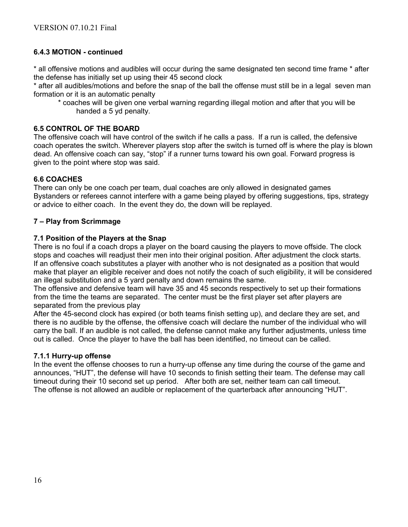#### **6.4.3 MOTION - continued**

\* all offensive motions and audibles will occur during the same designated ten second time frame \* after the defense has initially set up using their 45 second clock

\* after all audibles/motions and before the snap of the ball the offense must still be in a legal seven man formation or it is an automatic penalty

\* coaches will be given one verbal warning regarding illegal motion and after that you will be handed a 5 yd penalty.

#### **6.5 CONTROL OF THE BOARD**

The offensive coach will have control of the switch if he calls a pass. If a run is called, the defensive coach operates the switch. Wherever players stop after the switch is turned off is where the play is blown dead. An offensive coach can say, "stop" if a runner turns toward his own goal. Forward progress is given to the point where stop was said.

#### **6.6 COACHES**

There can only be one coach per team, dual coaches are only allowed in designated games Bystanders or referees cannot interfere with a game being played by offering suggestions, tips, strategy or advice to either coach. In the event they do, the down will be replayed.

#### **7 – Play from Scrimmage**

#### **7.1 Position of the Players at the Snap**

There is no foul if a coach drops a player on the board causing the players to move offside. The clock stops and coaches will readjust their men into their original position. After adjustment the clock starts. If an offensive coach substitutes a player with another who is not designated as a position that would make that player an eligible receiver and does not notify the coach of such eligibility, it will be considered an illegal substitution and a 5 yard penalty and down remains the same.

The offensive and defensive team will have 35 and 45 seconds respectively to set up their formations from the time the teams are separated. The center must be the first player set after players are separated from the previous play

After the 45-second clock has expired (or both teams finish setting up), and declare they are set, and there is no audible by the offense, the offensive coach will declare the number of the individual who will carry the ball. If an audible is not called, the defense cannot make any further adjustments, unless time out is called. Once the player to have the ball has been identified, no timeout can be called.

#### **7.1.1 Hurry-up offense**

In the event the offense chooses to run a hurry-up offense any time during the course of the game and announces, "HUT", the defense will have 10 seconds to finish setting their team. The defense may call timeout during their 10 second set up period. After both are set, neither team can call timeout. The offense is not allowed an audible or replacement of the quarterback after announcing "HUT".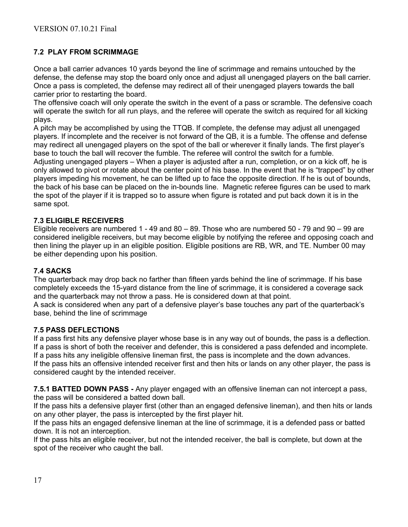# **7.2 PLAY FROM SCRIMMAGE**

Once a ball carrier advances 10 yards beyond the line of scrimmage and remains untouched by the defense, the defense may stop the board only once and adjust all unengaged players on the ball carrier. Once a pass is completed, the defense may redirect all of their unengaged players towards the ball carrier prior to restarting the board.

The offensive coach will only operate the switch in the event of a pass or scramble. The defensive coach will operate the switch for all run plays, and the referee will operate the switch as required for all kicking plays.

A pitch may be accomplished by using the TTQB. If complete, the defense may adjust all unengaged players. If incomplete and the receiver is not forward of the QB, it is a fumble. The offense and defense may redirect all unengaged players on the spot of the ball or wherever it finally lands. The first player's base to touch the ball will recover the fumble. The referee will control the switch for a fumble. Adjusting unengaged players – When a player is adjusted after a run, completion, or on a kick off, he is only allowed to pivot or rotate about the center point of his base. In the event that he is "trapped" by other players impeding his movement, he can be lifted up to face the opposite direction. If he is out of bounds, the back of his base can be placed on the in-bounds line. Magnetic referee figures can be used to mark the spot of the player if it is trapped so to assure when figure is rotated and put back down it is in the same spot.

#### **7.3 ELIGIBLE RECEIVERS**

Eligible receivers are numbered 1 - 49 and  $80 - 89$ . Those who are numbered 50 - 79 and  $90 - 99$  are considered ineligible receivers, but may become eligible by notifying the referee and opposing coach and then lining the player up in an eligible position. Eligible positions are RB, WR, and TE. Number 00 may be either depending upon his position.

#### **7.4 SACKS**

The quarterback may drop back no farther than fifteen yards behind the line of scrimmage. If his base completely exceeds the 15-yard distance from the line of scrimmage, it is considered a coverage sack and the quarterback may not throw a pass. He is considered down at that point.

A sack is considered when any part of a defensive player's base touches any part of the quarterback's base, behind the line of scrimmage

#### **7.5 PASS DEFLECTIONS**

If a pass first hits any defensive player whose base is in any way out of bounds, the pass is a deflection. If a pass is short of both the receiver and defender, this is considered a pass defended and incomplete. If a pass hits any ineligible offensive lineman first, the pass is incomplete and the down advances. If the pass hits an offensive intended receiver first and then hits or lands on any other player, the pass is

considered caught by the intended receiver.

**7.5.1 BATTED DOWN PASS -** Any player engaged with an offensive lineman can not intercept a pass, the pass will be considered a batted down ball.

If the pass hits a defensive player first (other than an engaged defensive lineman), and then hits or lands on any other player, the pass is intercepted by the first player hit.

If the pass hits an engaged defensive lineman at the line of scrimmage, it is a defended pass or batted down. It is not an interception.

If the pass hits an eligible receiver, but not the intended receiver, the ball is complete, but down at the spot of the receiver who caught the ball.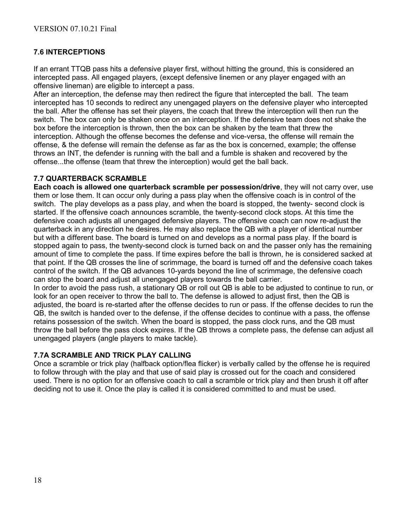# **7.6 INTERCEPTIONS**

If an errant TTQB pass hits a defensive player first, without hitting the ground, this is considered an intercepted pass. All engaged players, (except defensive linemen or any player engaged with an offensive lineman) are eligible to intercept a pass.

After an interception, the defense may then redirect the figure that intercepted the ball. The team intercepted has 10 seconds to redirect any unengaged players on the defensive player who intercepted the ball. After the offense has set their players, the coach that threw the interception will then run the switch. The box can only be shaken once on an interception. If the defensive team does not shake the box before the interception is thrown, then the box can be shaken by the team that threw the interception. Although the offense becomes the defense and vice-versa, the offense will remain the offense, & the defense will remain the defense as far as the box is concerned, example; the offense throws an INT, the defender is running with the ball and a fumble is shaken and recovered by the offense...the offense (team that threw the interception) would get the ball back.

#### **7.7 QUARTERBACK SCRAMBLE**

**Each coach is allowed one quarterback scramble per possession/drive**, they will not carry over, use them or lose them. It can occur only during a pass play when the offensive coach is in control of the switch. The play develops as a pass play, and when the board is stopped, the twenty- second clock is started. If the offensive coach announces scramble, the twenty-second clock stops. At this time the defensive coach adjusts all unengaged defensive players. The offensive coach can now re-adjust the quarterback in any direction he desires. He may also replace the QB with a player of identical number but with a different base. The board is turned on and develops as a normal pass play. If the board is stopped again to pass, the twenty-second clock is turned back on and the passer only has the remaining amount of time to complete the pass. If time expires before the ball is thrown, he is considered sacked at that point. If the QB crosses the line of scrimmage, the board is turned off and the defensive coach takes control of the switch. If the QB advances 10-yards beyond the line of scrimmage, the defensive coach can stop the board and adjust all unengaged players towards the ball carrier.

In order to avoid the pass rush, a stationary QB or roll out QB is able to be adjusted to continue to run, or look for an open receiver to throw the ball to. The defense is allowed to adjust first, then the QB is adjusted, the board is re-started after the offense decides to run or pass. If the offense decides to run the QB, the switch is handed over to the defense, if the offense decides to continue with a pass, the offense retains possession of the switch. When the board is stopped, the pass clock runs, and the QB must throw the ball before the pass clock expires. If the QB throws a complete pass, the defense can adjust all unengaged players (angle players to make tackle).

## **7.7A SCRAMBLE AND TRICK PLAY CALLING**

Once a scramble or trick play (halfback option/flea flicker) is verbally called by the offense he is required to follow through with the play and that use of said play is crossed out for the coach and considered used. There is no option for an offensive coach to call a scramble or trick play and then brush it off after deciding not to use it. Once the play is called it is considered committed to and must be used.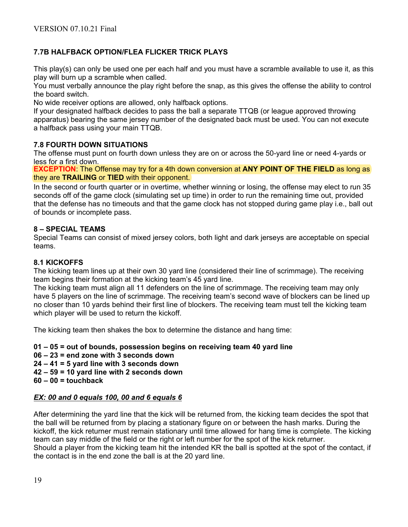# **7.7B HALFBACK OPTION/FLEA FLICKER TRICK PLAYS**

This play(s) can only be used one per each half and you must have a scramble available to use it, as this play will burn up a scramble when called.

You must verbally announce the play right before the snap, as this gives the offense the ability to control the board switch.

No wide receiver options are allowed, only halfback options.

If your designated halfback decides to pass the ball a separate TTQB (or league approved throwing apparatus) bearing the same jersey number of the designated back must be used. You can not execute a halfback pass using your main TTQB.

## **7.8 FOURTH DOWN SITUATIONS**

The offense must punt on fourth down unless they are on or across the 50-yard line or need 4-yards or less for a first down.

**EXCEPTION**: The Offense may try for a 4th down conversion at **ANY POINT OF THE FIELD** as long as they are **TRAILING** or **TIED** with their opponent.

In the second or fourth quarter or in overtime, whether winning or losing, the offense may elect to run 35 seconds off of the game clock (simulating set up time) in order to run the remaining time out, provided that the defense has no timeouts and that the game clock has not stopped during game play i.e., ball out of bounds or incomplete pass.

#### **8 – SPECIAL TEAMS**

Special Teams can consist of mixed jersey colors, both light and dark jerseys are acceptable on special teams.

#### **8.1 KICKOFFS**

The kicking team lines up at their own 30 yard line (considered their line of scrimmage). The receiving team begins their formation at the kicking team's 45 yard line.

The kicking team must align all 11 defenders on the line of scrimmage. The receiving team may only have 5 players on the line of scrimmage. The receiving team's second wave of blockers can be lined up no closer than 10 yards behind their first line of blockers. The receiving team must tell the kicking team which player will be used to return the kickoff.

The kicking team then shakes the box to determine the distance and hang time:

**01 – 05 = out of bounds, possession begins on receiving team 40 yard line 06 – 23 = end zone with 3 seconds down 24 – 41 = 5 yard line with 3 seconds down 42 – 59 = 10 yard line with 2 seconds down 60 – 00 = touchback** 

## *EX: 00 and 0 equals 100, 00 and 6 equals 6*

After determining the yard line that the kick will be returned from, the kicking team decides the spot that the ball will be returned from by placing a stationary figure on or between the hash marks. During the kickoff, the kick returner must remain stationary until time allowed for hang time is complete. The kicking team can say middle of the field or the right or left number for the spot of the kick returner. Should a player from the kicking team hit the intended KR the ball is spotted at the spot of the contact, if the contact is in the end zone the ball is at the 20 yard line.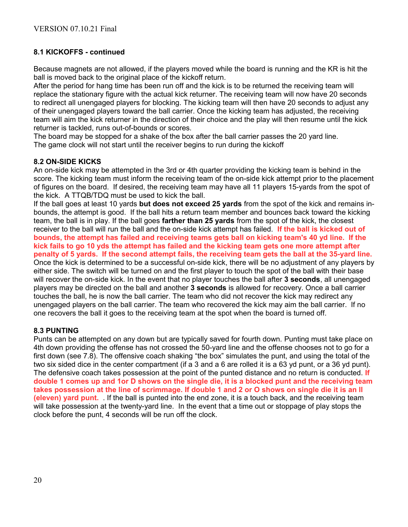# **8.1 KICKOFFS - continued**

Because magnets are not allowed, if the players moved while the board is running and the KR is hit the ball is moved back to the original place of the kickoff return.

After the period for hang time has been run off and the kick is to be returned the receiving team will replace the stationary figure with the actual kick returner. The receiving team will now have 20 seconds to redirect all unengaged players for blocking. The kicking team will then have 20 seconds to adjust any of their unengaged players toward the ball carrier. Once the kicking team has adjusted, the receiving team will aim the kick returner in the direction of their choice and the play will then resume until the kick returner is tackled, runs out-of-bounds or scores.

The board may be stopped for a shake of the box after the ball carrier passes the 20 yard line. The game clock will not start until the receiver begins to run during the kickoff

#### **8.2 ON-SIDE KICKS**

An on-side kick may be attempted in the 3rd or 4th quarter providing the kicking team is behind in the score. The kicking team must inform the receiving team of the on-side kick attempt prior to the placement of figures on the board. If desired, the receiving team may have all 11 players 15-yards from the spot of the kick. A TTQB/TDQ must be used to kick the ball.

If the ball goes at least 10 yards **but does not exceed 25 yards** from the spot of the kick and remains inbounds, the attempt is good. If the ball hits a return team member and bounces back toward the kicking team, the ball is in play. If the ball goes **farther than 25 yards** from the spot of the kick, the closest receiver to the ball will run the ball and the on-side kick attempt has failed. **If the ball is kicked out of bounds, the attempt has failed and receiving teams gets ball on kicking team's 40 yd line. If the kick fails to go 10 yds the attempt has failed and the kicking team gets one more attempt after penalty of 5 yards. If the second attempt fails, the receiving team gets the ball at the 35-yard line.** Once the kick is determined to be a successful on-side kick, there will be no adjustment of any players by either side. The switch will be turned on and the first player to touch the spot of the ball with their base will recover the on-side kick. In the event that no player touches the ball after **3 seconds**, all unengaged players may be directed on the ball and another **3 seconds** is allowed for recovery. Once a ball carrier touches the ball, he is now the ball carrier. The team who did not recover the kick may redirect any unengaged players on the ball carrier. The team who recovered the kick may aim the ball carrier. If no one recovers the ball it goes to the receiving team at the spot when the board is turned off.

## **8.3 PUNTING**

Punts can be attempted on any down but are typically saved for fourth down. Punting must take place on 4th down providing the offense has not crossed the 50-yard line and the offense chooses not to go for a first down (see 7.8). The offensive coach shaking "the box" simulates the punt, and using the total of the two six sided dice in the center compartment (if a 3 and a 6 are rolled it is a 63 yd punt, or a 36 yd punt). The defensive coach takes possession at the point of the punted distance and no return is conducted. **If double 1 comes up and 1or D shows on the single die, it is a blocked punt and the receiving team takes possession at the line of scrimmage. If double 1 and 2 or O shows on single die it is an ll (eleven) yard punt.** . If the ball is punted into the end zone, it is a touch back, and the receiving team will take possession at the twenty-yard line. In the event that a time out or stoppage of play stops the clock before the punt, 4 seconds will be run off the clock.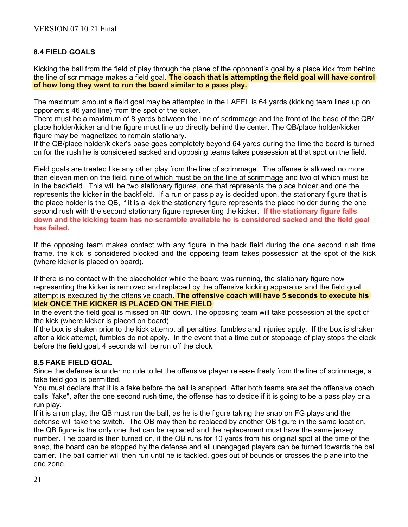# **8.4 FIELD GOALS**

Kicking the ball from the field of play through the plane of the opponent's goal by a place kick from behind the line of scrimmage makes a field goal. **The coach that is attempting the field goal will have control of how long they want to run the board similar to a pass play.**

The maximum amount a field goal may be attempted in the LAEFL is 64 yards (kicking team lines up on opponent's 46 yard line) from the spot of the kicker.

There must be a maximum of 8 yards between the line of scrimmage and the front of the base of the QB/ place holder/kicker and the figure must line up directly behind the center. The QB/place holder/kicker figure may be magnetized to remain stationary.

If the QB/place holder/kicker's base goes completely beyond 64 yards during the time the board is turned on for the rush he is considered sacked and opposing teams takes possession at that spot on the field.

Field goals are treated like any other play from the line of scrimmage. The offense is allowed no more than eleven men on the field, nine of which must be on the line of scrimmage and two of which must be in the backfield. This will be two stationary figures, one that represents the place holder and one the represents the kicker in the backfield. If a run or pass play is decided upon, the stationary figure that is the place holder is the QB, if it is a kick the stationary figure represents the place holder during the one second rush with the second stationary figure representing the kicker. **If the stationary figure falls down and the kicking team has no scramble available he is considered sacked and the field goal has failed.**

If the opposing team makes contact with any figure in the back field during the one second rush time frame, the kick is considered blocked and the opposing team takes possession at the spot of the kick (where kicker is placed on board).

If there is no contact with the placeholder while the board was running, the stationary figure now representing the kicker is removed and replaced by the offensive kicking apparatus and the field goal attempt is executed by the offensive coach. **The offensive coach will have 5 seconds to execute his kick ONCE THE KICKER IS PLACED ON THE FIELD**

In the event the field goal is missed on 4th down. The opposing team will take possession at the spot of the kick (where kicker is placed on board).

If the box is shaken prior to the kick attempt all penalties, fumbles and injuries apply. If the box is shaken after a kick attempt, fumbles do not apply. In the event that a time out or stoppage of play stops the clock before the field goal, 4 seconds will be run off the clock.

## **8.5 FAKE FIELD GOAL**

Since the defense is under no rule to let the offensive player release freely from the line of scrimmage, a fake field goal is permitted.

You must declare that it is a fake before the ball is snapped. After both teams are set the offensive coach calls "fake", after the one second rush time, the offense has to decide if it is going to be a pass play or a run play.

If it is a run play, the QB must run the ball, as he is the figure taking the snap on FG plays and the defense will take the switch. The QB may then be replaced by another QB figure in the same location, the QB figure is the only one that can be replaced and the replacement must have the same jersey number. The board is then turned on, if the QB runs for 10 yards from his original spot at the time of the snap, the board can be stopped by the defense and all unengaged players can be turned towards the ball carrier. The ball carrier will then run until he is tackled, goes out of bounds or crosses the plane into the end zone.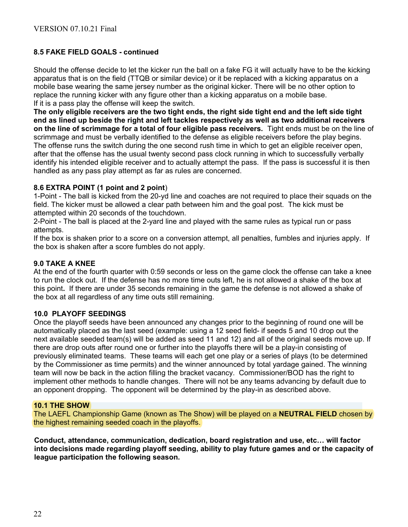# **8.5 FAKE FIELD GOALS - continued**

Should the offense decide to let the kicker run the ball on a fake FG it will actually have to be the kicking apparatus that is on the field (TTQB or similar device) or it be replaced with a kicking apparatus on a mobile base wearing the same jersey number as the original kicker. There will be no other option to replace the running kicker with any figure other than a kicking apparatus on a mobile base. If it is a pass play the offense will keep the switch.

**The only eligible receivers are the two tight ends, the right side tight end and the left side tight end as lined up beside the right and left tackles respectively as well as two additional receivers on the line of scrimmage for a total of four eligible pass receivers.** Tight ends must be on the line of scrimmage and must be verbally identified to the defense as eligible receivers before the play begins. The offense runs the switch during the one second rush time in which to get an eligible receiver open, after that the offense has the usual twenty second pass clock running in which to successfully verbally identify his intended eligible receiver and to actually attempt the pass. If the pass is successful it is then handled as any pass play attempt as far as rules are concerned.

#### **8.6 EXTRA POINT (1 point and 2 point**)

1-Point - The ball is kicked from the 20-yd line and coaches are not required to place their squads on the field. The kicker must be allowed a clear path between him and the goal post. The kick must be attempted within 20 seconds of the touchdown.

2-Point - The ball is placed at the 2-yard line and played with the same rules as typical run or pass attempts.

If the box is shaken prior to a score on a conversion attempt, all penalties, fumbles and injuries apply. If the box is shaken after a score fumbles do not apply.

#### **9.0 TAKE A KNEE**

At the end of the fourth quarter with 0:59 seconds or less on the game clock the offense can take a knee to run the clock out. If the defense has no more time outs left, he is not allowed a shake of the box at this point**.** If there are under 35 seconds remaining in the game the defense is not allowed a shake of the box at all regardless of any time outs still remaining.

#### **10.0 PLAYOFF SEEDINGS**

Once the playoff seeds have been announced any changes prior to the beginning of round one will be automatically placed as the last seed (example: using a 12 seed field- if seeds 5 and 10 drop out the next available seeded team(s) will be added as seed 11 and 12) and all of the original seeds move up. If there are drop outs after round one or further into the playoffs there will be a play-in consisting of previously eliminated teams. These teams will each get one play or a series of plays (to be determined by the Commissioner as time permits) and the winner announced by total yardage gained. The winning team will now be back in the action filling the bracket vacancy. Commissioner/BOD has the right to implement other methods to handle changes. There will not be any teams advancing by default due to an opponent dropping. The opponent will be determined by the play-in as described above.

#### **10.1 THE SHOW**

The LAEFL Championship Game (known as The Show) will be played on a **NEUTRAL FIELD** chosen by the highest remaining seeded coach in the playoffs.

**Conduct, attendance, communication, dedication, board registration and use, etc… will factor into decisions made regarding playoff seeding, ability to play future games and or the capacity of league participation the following season.**